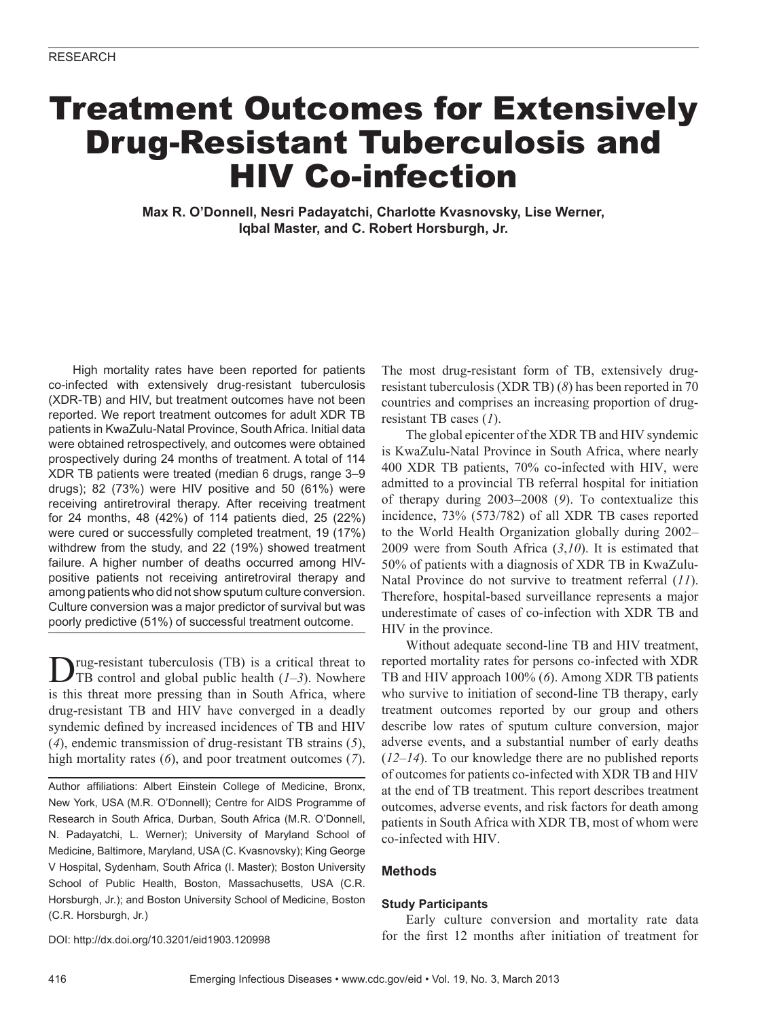# Treatment Outcomes for Extensively Drug-Resistant Tuberculosis and HIV Co-infection

**Max R. O'Donnell, Nesri Padayatchi, Charlotte Kvasnovsky, Lise Werner, Iqbal Master, and C. Robert Horsburgh, Jr.**

High mortality rates have been reported for patients co-infected with extensively drug-resistant tuberculosis (XDR-TB) and HIV, but treatment outcomes have not been reported. We report treatment outcomes for adult XDR TB patients in KwaZulu-Natal Province, South Africa. Initial data were obtained retrospectively, and outcomes were obtained prospectively during 24 months of treatment. A total of 114 XDR TB patients were treated (median 6 drugs, range 3–9 drugs); 82 (73%) were HIV positive and 50 (61%) were receiving antiretroviral therapy. After receiving treatment for 24 months, 48 (42%) of 114 patients died, 25 (22%) were cured or successfully completed treatment, 19 (17%) withdrew from the study, and 22 (19%) showed treatment failure. A higher number of deaths occurred among HIVpositive patients not receiving antiretroviral therapy and among patients who did not show sputum culture conversion. Culture conversion was a major predictor of survival but was poorly predictive (51%) of successful treatment outcome.

**D**rug-resistant tuberculosis (TB) is a critical threat to TB control and global public health  $(l-3)$ . Nowhere is this threat more pressing than in South Africa, where drug-resistant TB and HIV have converged in a deadly syndemic defined by increased incidences of TB and HIV (*4*), endemic transmission of drug-resistant TB strains (*5*), high mortality rates (*6*), and poor treatment outcomes (*7*).

Author affiliations: Albert Einstein College of Medicine, Bronx, New York, USA (M.R. O'Donnell); Centre for AIDS Programme of Research in South Africa, Durban, South Africa (M.R. O'Donnell, N. Padayatchi, L. Werner); University of Maryland School of Medicine, Baltimore, Maryland, USA (C. Kvasnovsky); King George V Hospital, Sydenham, South Africa (I. Master); Boston University School of Public Health, Boston, Massachusetts, USA (C.R. Horsburgh, Jr.); and Boston University School of Medicine, Boston (C.R. Horsburgh, Jr.)

DOI: http://dx.doi.org/10.3201/eid1903.120998

The most drug-resistant form of TB, extensively drugresistant tuberculosis (XDR TB) (*8*) has been reported in 70 countries and comprises an increasing proportion of drugresistant TB cases (*1*).

The global epicenter of the XDR TB and HIV syndemic is KwaZulu-Natal Province in South Africa, where nearly 400 XDR TB patients, 70% co-infected with HIV, were admitted to a provincial TB referral hospital for initiation of therapy during 2003–2008 (*9*). To contextualize this incidence, 73% (573/782) of all XDR TB cases reported to the World Health Organization globally during 2002– 2009 were from South Africa (*3*,*10*). It is estimated that 50% of patients with a diagnosis of XDR TB in KwaZulu-Natal Province do not survive to treatment referral (*11*). Therefore, hospital-based surveillance represents a major underestimate of cases of co-infection with XDR TB and HIV in the province.

Without adequate second-line TB and HIV treatment, reported mortality rates for persons co-infected with XDR TB and HIV approach 100% (*6*). Among XDR TB patients who survive to initiation of second-line TB therapy, early treatment outcomes reported by our group and others describe low rates of sputum culture conversion, major adverse events, and a substantial number of early deaths (*12–14*). To our knowledge there are no published reports of outcomes for patients co-infected with XDR TB and HIV at the end of TB treatment. This report describes treatment outcomes, adverse events, and risk factors for death among patients in South Africa with XDR TB, most of whom were co-infected with HIV.

#### **Methods**

# **Study Participants**

Early culture conversion and mortality rate data for the first 12 months after initiation of treatment for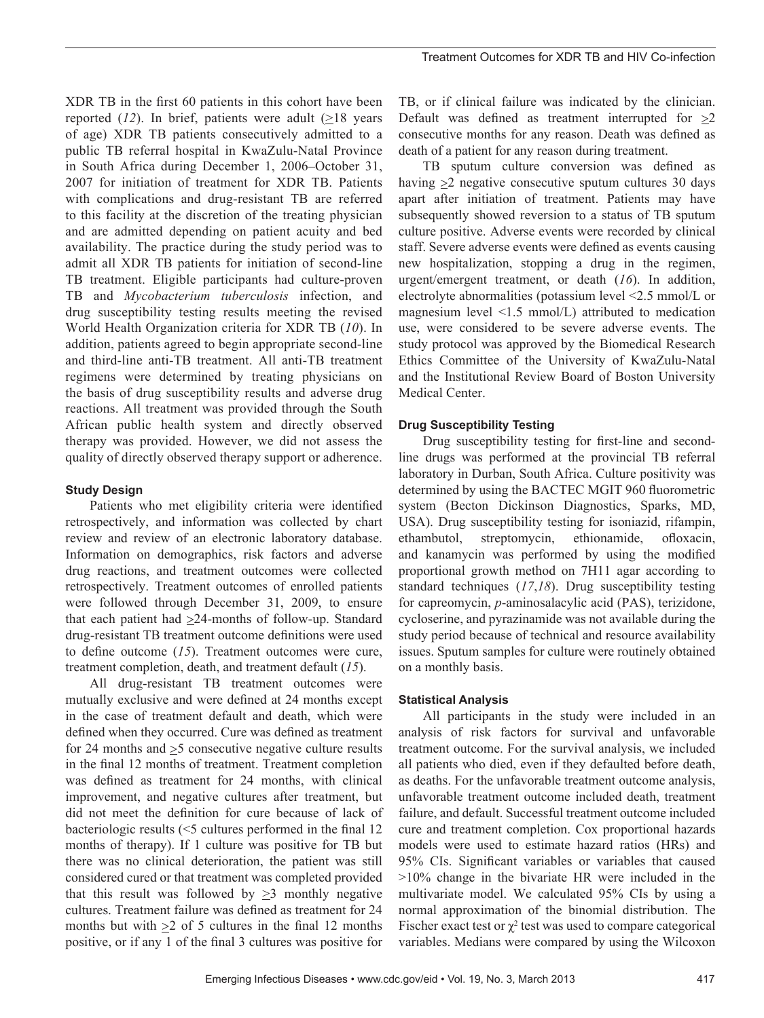XDR TB in the first 60 patients in this cohort have been reported (*12*). In brief, patients were adult (>18 years of age) XDR TB patients consecutively admitted to a public TB referral hospital in KwaZulu-Natal Province in South Africa during December 1, 2006–October 31, 2007 for initiation of treatment for XDR TB. Patients with complications and drug-resistant TB are referred to this facility at the discretion of the treating physician and are admitted depending on patient acuity and bed availability. The practice during the study period was to admit all XDR TB patients for initiation of second-line TB treatment. Eligible participants had culture-proven TB and *Mycobacterium tuberculosis* infection, and drug susceptibility testing results meeting the revised World Health Organization criteria for XDR TB (*10*). In addition, patients agreed to begin appropriate second-line and third-line anti-TB treatment. All anti-TB treatment regimens were determined by treating physicians on the basis of drug susceptibility results and adverse drug reactions. All treatment was provided through the South African public health system and directly observed therapy was provided. However, we did not assess the quality of directly observed therapy support or adherence.

## **Study Design**

Patients who met eligibility criteria were identified retrospectively, and information was collected by chart review and review of an electronic laboratory database. Information on demographics, risk factors and adverse drug reactions, and treatment outcomes were collected retrospectively. Treatment outcomes of enrolled patients were followed through December 31, 2009, to ensure that each patient had  $\geq$ 24-months of follow-up. Standard drug-resistant TB treatment outcome definitions were used to define outcome (*15*). Treatment outcomes were cure, treatment completion, death, and treatment default (*15*).

All drug-resistant TB treatment outcomes were mutually exclusive and were defined at 24 months except in the case of treatment default and death, which were defined when they occurred. Cure was defined as treatment for 24 months and >5 consecutive negative culture results in the final 12 months of treatment. Treatment completion was defined as treatment for 24 months, with clinical improvement, and negative cultures after treatment, but did not meet the definition for cure because of lack of bacteriologic results (<5 cultures performed in the final 12 months of therapy). If 1 culture was positive for TB but there was no clinical deterioration, the patient was still considered cured or that treatment was completed provided that this result was followed by  $\geq$ 3 monthly negative cultures. Treatment failure was defined as treatment for 24 months but with  $>2$  of 5 cultures in the final 12 months positive, or if any 1 of the final 3 cultures was positive for

TB, or if clinical failure was indicated by the clinician. Default was defined as treatment interrupted for  $>2$ consecutive months for any reason. Death was defined as death of a patient for any reason during treatment.

TB sputum culture conversion was defined as having  $>2$  negative consecutive sputum cultures 30 days apart after initiation of treatment. Patients may have subsequently showed reversion to a status of TB sputum culture positive. Adverse events were recorded by clinical staff. Severe adverse events were defined as events causing new hospitalization, stopping a drug in the regimen, urgent/emergent treatment, or death (*16*). In addition, electrolyte abnormalities (potassium level <2.5 mmol/L or magnesium level  $\leq 1.5$  mmol/L) attributed to medication use, were considered to be severe adverse events. The study protocol was approved by the Biomedical Research Ethics Committee of the University of KwaZulu-Natal and the Institutional Review Board of Boston University Medical Center.

## **Drug Susceptibility Testing**

Drug susceptibility testing for first-line and secondline drugs was performed at the provincial TB referral laboratory in Durban, South Africa. Culture positivity was determined by using the BACTEC MGIT 960 fluorometric system (Becton Dickinson Diagnostics, Sparks, MD, USA). Drug susceptibility testing for isoniazid, rifampin, ethambutol, streptomycin, ethionamide, ofloxacin, and kanamycin was performed by using the modified proportional growth method on 7H11 agar according to standard techniques (*17*,*18*). Drug susceptibility testing for capreomycin, *p*-aminosalacylic acid (PAS), terizidone, cycloserine, and pyrazinamide was not available during the study period because of technical and resource availability issues. Sputum samples for culture were routinely obtained on a monthly basis.

#### **Statistical Analysis**

All participants in the study were included in an analysis of risk factors for survival and unfavorable treatment outcome. For the survival analysis, we included all patients who died, even if they defaulted before death, as deaths. For the unfavorable treatment outcome analysis, unfavorable treatment outcome included death, treatment failure, and default. Successful treatment outcome included cure and treatment completion. Cox proportional hazards models were used to estimate hazard ratios (HRs) and 95% CIs. Significant variables or variables that caused  $>10\%$  change in the bivariate HR were included in the multivariate model. We calculated 95% CIs by using a normal approximation of the binomial distribution. The Fischer exact test or  $\chi^2$  test was used to compare categorical variables. Medians were compared by using the Wilcoxon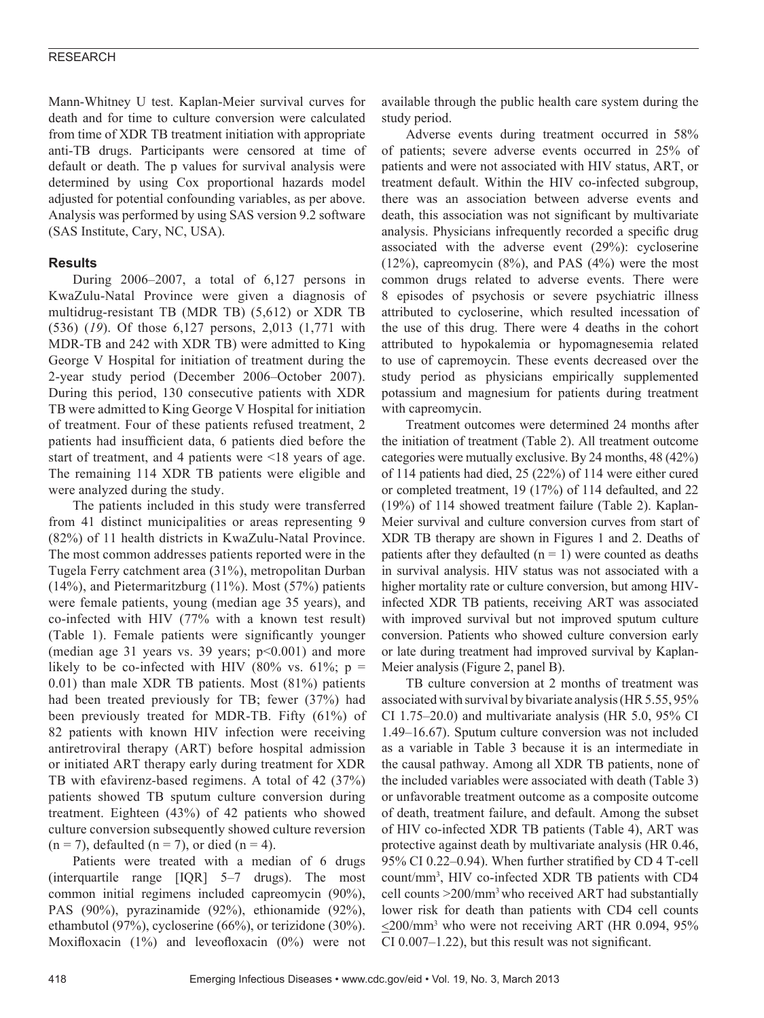Mann-Whitney U test. Kaplan-Meier survival curves for death and for time to culture conversion were calculated from time of XDR TB treatment initiation with appropriate anti-TB drugs. Participants were censored at time of default or death. The p values for survival analysis were determined by using Cox proportional hazards model adjusted for potential confounding variables, as per above. Analysis was performed by using SAS version 9.2 software (SAS Institute, Cary, NC, USA).

# **Results**

During 2006–2007, a total of 6,127 persons in KwaZulu-Natal Province were given a diagnosis of multidrug-resistant TB (MDR TB) (5,612) or XDR TB (536) (*19*). Of those 6,127 persons, 2,013 (1,771 with MDR-TB and 242 with XDR TB) were admitted to King George V Hospital for initiation of treatment during the 2-year study period (December 2006–October 2007). During this period, 130 consecutive patients with XDR TB were admitted to King George V Hospital for initiation of treatment. Four of these patients refused treatment, 2 patients had insufficient data, 6 patients died before the start of treatment, and 4 patients were <18 years of age. The remaining 114 XDR TB patients were eligible and were analyzed during the study.

The patients included in this study were transferred from 41 distinct municipalities or areas representing 9 (82%) of 11 health districts in KwaZulu-Natal Province. The most common addresses patients reported were in the Tugela Ferry catchment area (31%), metropolitan Durban (14%), and Pietermaritzburg (11%). Most (57%) patients were female patients, young (median age 35 years), and co-infected with HIV (77% with a known test result) (Table 1). Female patients were significantly younger (median age 31 years vs. 39 years;  $p<0.001$ ) and more likely to be co-infected with HIV (80% vs. 61%;  $p =$ 0.01) than male XDR TB patients. Most (81%) patients had been treated previously for TB; fewer (37%) had been previously treated for MDR-TB. Fifty (61%) of 82 patients with known HIV infection were receiving antiretroviral therapy (ART) before hospital admission or initiated ART therapy early during treatment for XDR TB with efavirenz-based regimens. A total of 42 (37%) patients showed TB sputum culture conversion during treatment. Eighteen (43%) of 42 patients who showed culture conversion subsequently showed culture reversion  $(n = 7)$ , defaulted  $(n = 7)$ , or died  $(n = 4)$ .

Patients were treated with a median of 6 drugs (interquartile range [IQR] 5–7 drugs). The most common initial regimens included capreomycin (90%), PAS (90%), pyrazinamide (92%), ethionamide (92%), ethambutol (97%), cycloserine (66%), or terizidone (30%). Moxifloxacin (1%) and leveofloxacin (0%) were not

available through the public health care system during the study period.

Adverse events during treatment occurred in 58% of patients; severe adverse events occurred in 25% of patients and were not associated with HIV status, ART, or treatment default. Within the HIV co-infected subgroup, there was an association between adverse events and death, this association was not significant by multivariate analysis. Physicians infrequently recorded a specific drug associated with the adverse event (29%): cycloserine (12%), capreomycin (8%), and PAS (4%) were the most common drugs related to adverse events. There were 8 episodes of psychosis or severe psychiatric illness attributed to cycloserine, which resulted incessation of the use of this drug. There were 4 deaths in the cohort attributed to hypokalemia or hypomagnesemia related to use of capremoycin. These events decreased over the study period as physicians empirically supplemented potassium and magnesium for patients during treatment with capreomycin.

Treatment outcomes were determined 24 months after the initiation of treatment (Table 2). All treatment outcome categories were mutually exclusive. By 24 months, 48 (42%) of 114 patients had died, 25 (22%) of 114 were either cured or completed treatment, 19 (17%) of 114 defaulted, and 22 (19%) of 114 showed treatment failure (Table 2). Kaplan-Meier survival and culture conversion curves from start of XDR TB therapy are shown in Figures 1 and 2. Deaths of patients after they defaulted  $(n = 1)$  were counted as deaths in survival analysis. HIV status was not associated with a higher mortality rate or culture conversion, but among HIVinfected XDR TB patients, receiving ART was associated with improved survival but not improved sputum culture conversion. Patients who showed culture conversion early or late during treatment had improved survival by Kaplan-Meier analysis (Figure 2, panel B).

TB culture conversion at 2 months of treatment was associated with survival by bivariate analysis (HR 5.55, 95% CI 1.75–20.0) and multivariate analysis (HR 5.0, 95% CI 1.49–16.67). Sputum culture conversion was not included as a variable in Table 3 because it is an intermediate in the causal pathway. Among all XDR TB patients, none of the included variables were associated with death (Table 3) or unfavorable treatment outcome as a composite outcome of death, treatment failure, and default. Among the subset of HIV co-infected XDR TB patients (Table 4), ART was protective against death by multivariate analysis (HR 0.46, 95% CI 0.22–0.94). When further stratified by CD 4 T-cell count/mm3 , HIV co-infected XDR TB patients with CD4 cell counts >200/mm3 who received ART had substantially lower risk for death than patients with CD4 cell counts  $\leq$ 200/mm<sup>3</sup> who were not receiving ART (HR 0.094, 95%) CI 0.007–1.22), but this result was not significant.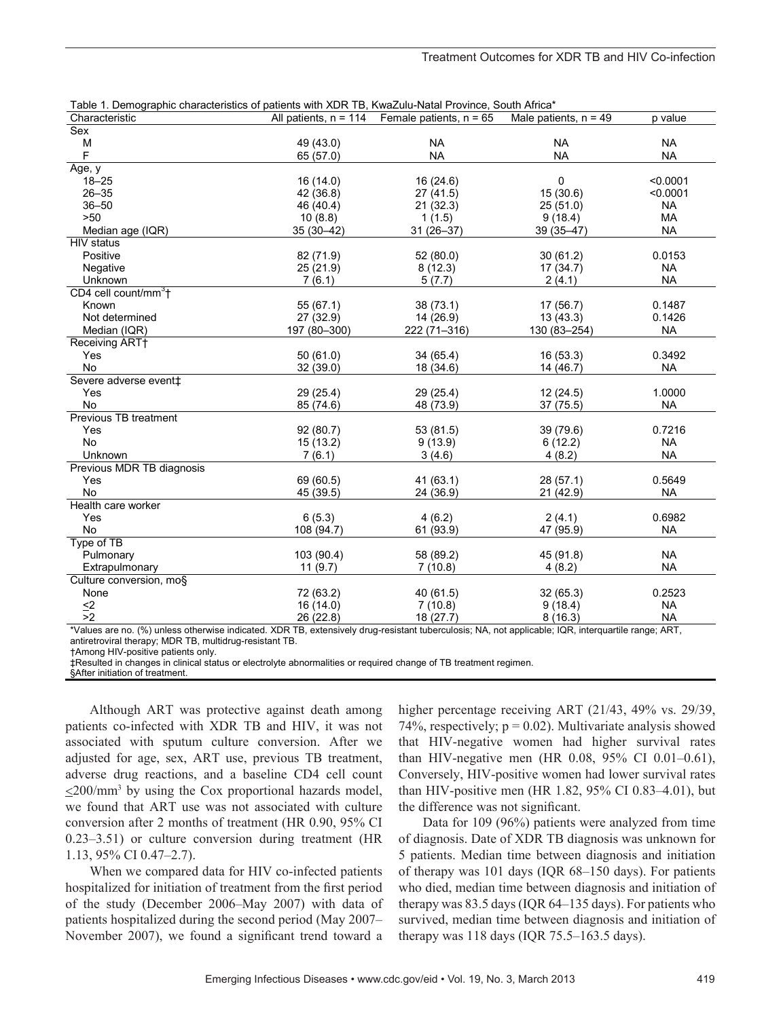| Table T. Demographic characteristics of patients with ADR TB, KWaZulu-Natal Province, South Africa |              |                                                   |                         |           |
|----------------------------------------------------------------------------------------------------|--------------|---------------------------------------------------|-------------------------|-----------|
| Characteristic                                                                                     |              | All patients, $n = 114$ Female patients, $n = 65$ | Male patients, $n = 49$ | p value   |
| Sex                                                                                                |              |                                                   |                         |           |
| M                                                                                                  | 49 (43.0)    | <b>NA</b>                                         | <b>NA</b>               | <b>NA</b> |
| F                                                                                                  | 65 (57.0)    | <b>NA</b>                                         | <b>NA</b>               | <b>NA</b> |
| Age, y                                                                                             |              |                                                   |                         |           |
| $18 - 25$                                                                                          | 16(14.0)     | 16(24.6)                                          | $\mathbf 0$             | < 0.0001  |
| $26 - 35$                                                                                          | 42 (36.8)    | 27(41.5)                                          | 15(30.6)                | < 0.0001  |
| $36 - 50$                                                                                          | 46 (40.4)    | 21(32.3)                                          | 25(51.0)                | <b>NA</b> |
| >50                                                                                                | 10(8.8)      | 1(1.5)                                            | 9(18.4)                 | МA        |
| Median age (IQR)                                                                                   | 35 (30-42)   | $31(26 - 37)$                                     | 39 (35-47)              | <b>NA</b> |
| HIV status                                                                                         |              |                                                   |                         |           |
| Positive                                                                                           | 82 (71.9)    | 52(80.0)                                          | 30(61.2)                | 0.0153    |
| Negative                                                                                           | 25(21.9)     | 8(12.3)                                           | 17(34.7)                | <b>NA</b> |
| Unknown                                                                                            | 7(6.1)       | 5(7.7)                                            | 2(4.1)                  | <b>NA</b> |
| CD4 cell count/mm <sup>3</sup> <sup>+</sup>                                                        |              |                                                   |                         |           |
| Known                                                                                              | 55 (67.1)    | 38 (73.1)                                         | 17(56.7)                | 0.1487    |
| Not determined                                                                                     | 27(32.9)     | 14(26.9)                                          | 13(43.3)                | 0.1426    |
| Median (IQR)                                                                                       | 197 (80-300) | 222 (71-316)                                      | 130 (83-254)            | <b>NA</b> |
| Receiving ART+                                                                                     |              |                                                   |                         |           |
| Yes                                                                                                | 50(61.0)     | 34(65.4)                                          | 16(53.3)                | 0.3492    |
| <b>No</b>                                                                                          | 32 (39.0)    | 18 (34.6)                                         | 14 (46.7)               | <b>NA</b> |
| Severe adverse event±                                                                              |              |                                                   |                         |           |
| Yes                                                                                                | 29(25.4)     | 29 (25.4)                                         | 12(24.5)                | 1.0000    |
| <b>No</b>                                                                                          | 85 (74.6)    | 48 (73.9)                                         | 37(75.5)                | <b>NA</b> |
| Previous TB treatment                                                                              |              |                                                   |                         |           |
| Yes                                                                                                | 92 (80.7)    | 53(81.5)                                          | 39 (79.6)               | 0.7216    |
| <b>No</b>                                                                                          | 15(13.2)     | 9(13.9)                                           | 6(12.2)                 | <b>NA</b> |
| Unknown                                                                                            | 7(6.1)       | 3(4.6)                                            | 4(8.2)                  | <b>NA</b> |
| Previous MDR TB diagnosis                                                                          |              |                                                   |                         |           |
| Yes                                                                                                | 69 (60.5)    | 41 (63.1)                                         | 28(57.1)                | 0.5649    |
| No                                                                                                 | 45 (39.5)    | 24 (36.9)                                         | 21 (42.9)               | <b>NA</b> |
| Health care worker                                                                                 |              |                                                   |                         |           |
| Yes                                                                                                | 6(5.3)       | 4(6.2)                                            | 2(4.1)                  | 0.6982    |
| No                                                                                                 | 108 (94.7)   | 61 (93.9)                                         | 47 (95.9)               | <b>NA</b> |
| Type of TB                                                                                         |              |                                                   |                         |           |
| Pulmonary                                                                                          | 103 (90.4)   | 58 (89.2)                                         | 45 (91.8)               | <b>NA</b> |
|                                                                                                    |              |                                                   |                         | <b>NA</b> |
| Extrapulmonary                                                                                     | 11(9.7)      | 7(10.8)                                           | 4(8.2)                  |           |
| Culture conversion, mos                                                                            |              |                                                   |                         |           |
| None                                                                                               | 72 (63.2)    | 40 (61.5)                                         | 32(65.3)                | 0.2523    |
| $\frac{2}{2}$                                                                                      | 16 (14.0)    | 7(10.8)                                           | 9(18.4)                 | NA        |
|                                                                                                    | 26 (22.8)    | 18 (27.7)                                         | 8(16.3)                 | <b>NA</b> |

Table 1. Demographic characteristics of patients with XDR TB, KwaZulu-Natal Province, South Africa\*

\*Values are no. (%) unless otherwise indicated. XDR TB, extensively drug-resistant tuberculosis; NA, not applicable; IQR, interquartile range; ART, antiretroviral therapy; MDR TB, multidrug-resistant TB.

†Among HIV-positive patients only.

‡Resulted in changes in clinical status or electrolyte abnormalities or required change of TB treatment regimen.

§After initiation of treatment.

Although ART was protective against death among patients co-infected with XDR TB and HIV, it was not associated with sputum culture conversion. After we adjusted for age, sex, ART use, previous TB treatment, adverse drug reactions, and a baseline CD4 cell count  $\leq$ 200/mm<sup>3</sup> by using the Cox proportional hazards model, we found that ART use was not associated with culture conversion after 2 months of treatment (HR 0.90, 95% CI 0.23–3.51) or culture conversion during treatment (HR 1.13, 95% CI 0.47–2.7).

When we compared data for HIV co-infected patients hospitalized for initiation of treatment from the first period of the study (December 2006–May 2007) with data of patients hospitalized during the second period (May 2007– November 2007), we found a significant trend toward a

higher percentage receiving ART (21/43, 49% vs. 29/39, 74%, respectively;  $p = 0.02$ ). Multivariate analysis showed that HIV-negative women had higher survival rates than HIV-negative men (HR 0.08, 95% CI 0.01–0.61), Conversely, HIV-positive women had lower survival rates than HIV-positive men (HR 1.82, 95% CI 0.83–4.01), but the difference was not significant.

Data for 109 (96%) patients were analyzed from time of diagnosis. Date of XDR TB diagnosis was unknown for 5 patients. Median time between diagnosis and initiation of therapy was 101 days (IQR 68–150 days). For patients who died, median time between diagnosis and initiation of therapy was 83.5 days (IQR 64–135 days). For patients who survived, median time between diagnosis and initiation of therapy was 118 days (IQR 75.5–163.5 days).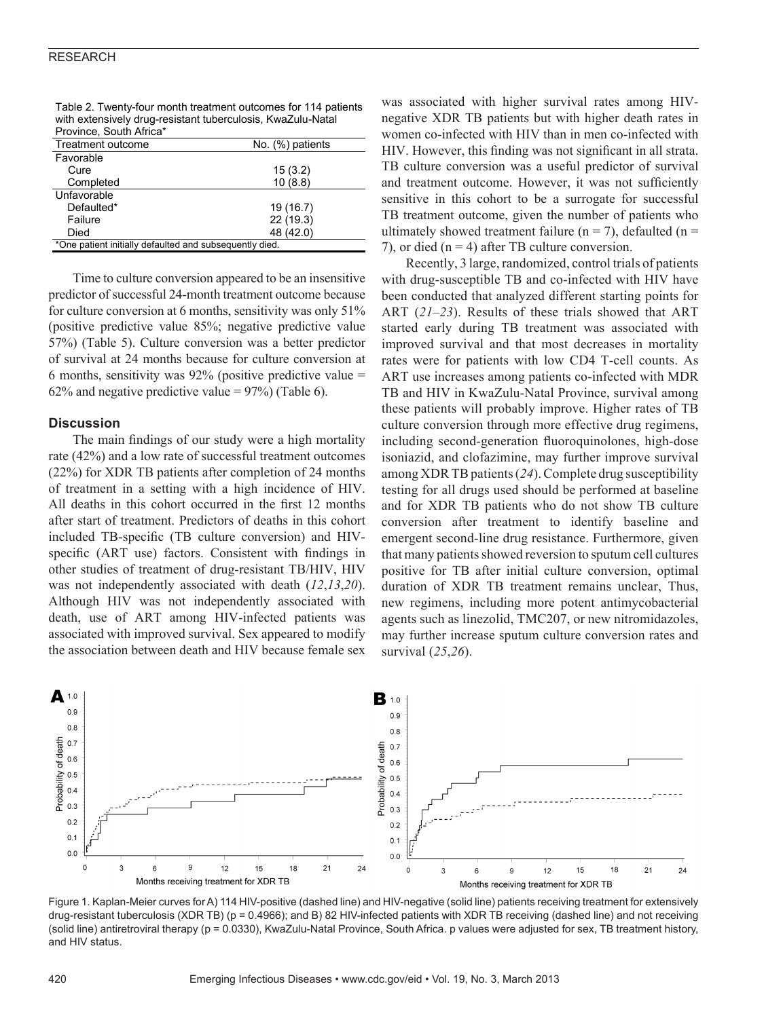| Province, South Africa*                                 |                  |  |  |  |
|---------------------------------------------------------|------------------|--|--|--|
| Treatment outcome                                       | No. (%) patients |  |  |  |
| Favorable                                               |                  |  |  |  |
| Cure                                                    | 15(3.2)          |  |  |  |
| Completed                                               | 10(8.8)          |  |  |  |
| Unfavorable                                             |                  |  |  |  |
| Defaulted*                                              | 19 (16.7)        |  |  |  |
| Failure                                                 | 22 (19.3)        |  |  |  |
| Died                                                    | 48 (42.0)        |  |  |  |
| *One patient initially defaulted and subsequently died. |                  |  |  |  |
|                                                         |                  |  |  |  |

Table 2. Twenty-four month treatment outcomes for 114 patients with extensively drug-resistant tuberculosis, KwaZulu-Natal

Time to culture conversion appeared to be an insensitive predictor of successful 24-month treatment outcome because for culture conversion at 6 months, sensitivity was only 51% (positive predictive value 85%; negative predictive value 57%) (Table 5). Culture conversion was a better predictor of survival at 24 months because for culture conversion at 6 months, sensitivity was  $92\%$  (positive predictive value = 62% and negative predictive value =  $97\%$ ) (Table 6).

#### **Discussion**

The main findings of our study were a high mortality rate (42%) and a low rate of successful treatment outcomes (22%) for XDR TB patients after completion of 24 months of treatment in a setting with a high incidence of HIV. All deaths in this cohort occurred in the first 12 months after start of treatment. Predictors of deaths in this cohort included TB-specific (TB culture conversion) and HIVspecific (ART use) factors. Consistent with findings in other studies of treatment of drug-resistant TB/HIV, HIV was not independently associated with death (*12*,*13*,*20*). Although HIV was not independently associated with death, use of ART among HIV-infected patients was associated with improved survival. Sex appeared to modify the association between death and HIV because female sex

was associated with higher survival rates among HIVnegative XDR TB patients but with higher death rates in women co-infected with HIV than in men co-infected with HIV. However, this finding was not significant in all strata. TB culture conversion was a useful predictor of survival and treatment outcome. However, it was not sufficiently sensitive in this cohort to be a surrogate for successful TB treatment outcome, given the number of patients who ultimately showed treatment failure ( $n = 7$ ), defaulted ( $n = 1$ ) 7), or died  $(n = 4)$  after TB culture conversion.

Recently, 3 large, randomized, control trials of patients with drug-susceptible TB and co-infected with HIV have been conducted that analyzed different starting points for ART (*21*–*23*). Results of these trials showed that ART started early during TB treatment was associated with improved survival and that most decreases in mortality rates were for patients with low CD4 T-cell counts. As ART use increases among patients co-infected with MDR TB and HIV in KwaZulu-Natal Province, survival among these patients will probably improve. Higher rates of TB culture conversion through more effective drug regimens, including second-generation fluoroquinolones, high-dose isoniazid, and clofazimine, may further improve survival among XDR TB patients (*24*). Complete drug susceptibility testing for all drugs used should be performed at baseline and for XDR TB patients who do not show TB culture conversion after treatment to identify baseline and emergent second-line drug resistance. Furthermore, given that many patients showed reversion to sputum cell cultures positive for TB after initial culture conversion, optimal duration of XDR TB treatment remains unclear, Thus, new regimens, including more potent antimycobacterial agents such as linezolid, TMC207, or new nitromidazoles, may further increase sputum culture conversion rates and survival (*25*,*26*).



Figure 1. Kaplan-Meier curves for A) 114 HIV-positive (dashed line) and HIV-negative (solid line) patients receiving treatment for extensively drug-resistant tuberculosis (XDR TB) (p = 0.4966); and B) 82 HIV-infected patients with XDR TB receiving (dashed line) and not receiving (solid line) antiretroviral therapy (p = 0.0330), KwaZulu-Natal Province, South Africa. p values were adjusted for sex, TB treatment history, and HIV status.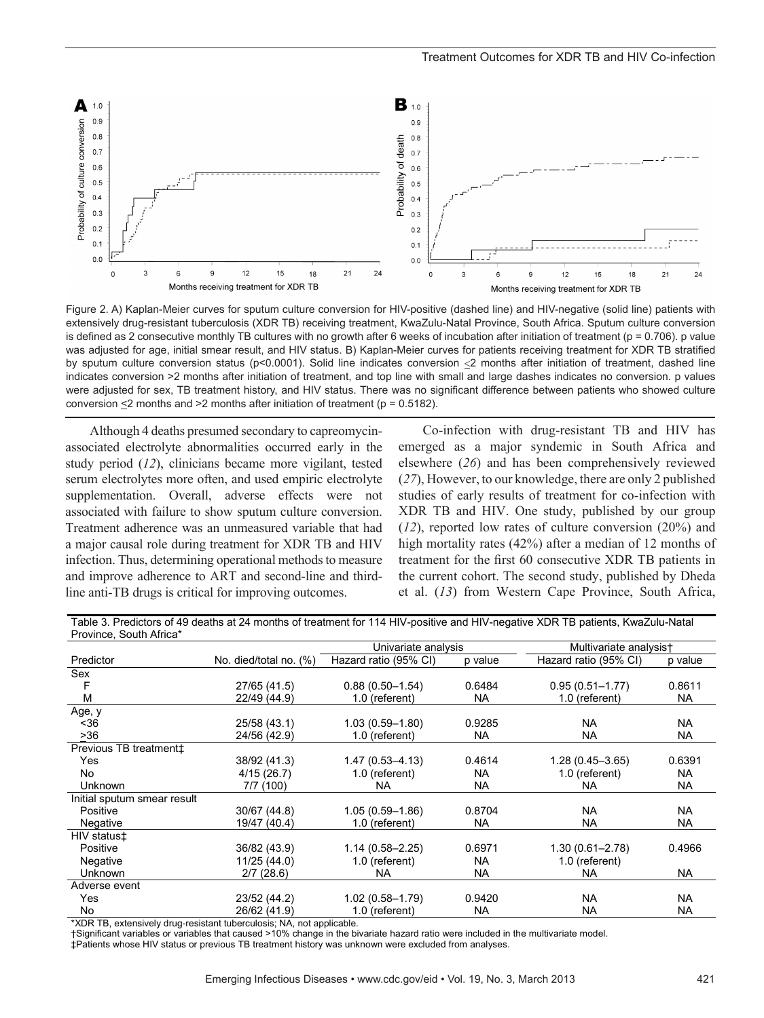

Figure 2. A) Kaplan-Meier curves for sputum culture conversion for HIV-positive (dashed line) and HIV-negative (solid line) patients with extensively drug-resistant tuberculosis (XDR TB) receiving treatment, KwaZulu-Natal Province, South Africa. Sputum culture conversion is defined as 2 consecutive monthly TB cultures with no growth after 6 weeks of incubation after initiation of treatment ( $p = 0.706$ ). p value was adjusted for age, initial smear result, and HIV status. B) Kaplan-Meier curves for patients receiving treatment for XDR TB stratified by sputum culture conversion status (p<0.0001). Solid line indicates conversion <2 months after initiation of treatment, dashed line indicates conversion >2 months after initiation of treatment, and top line with small and large dashes indicates no conversion. p values were adjusted for sex, TB treatment history, and HIV status. There was no significant difference between patients who showed culture conversion  $\leq$  months and  $\geq$  months after initiation of treatment ( $p = 0.5182$ ).

Although 4 deaths presumed secondary to capreomycinassociated electrolyte abnormalities occurred early in the study period (*12*), clinicians became more vigilant, tested serum electrolytes more often, and used empiric electrolyte supplementation. Overall, adverse effects were not associated with failure to show sputum culture conversion. Treatment adherence was an unmeasured variable that had a major causal role during treatment for XDR TB and HIV infection. Thus, determining operational methods to measure and improve adherence to ART and second-line and thirdline anti-TB drugs is critical for improving outcomes.

Co-infection with drug-resistant TB and HIV has emerged as a major syndemic in South Africa and elsewhere (*26*) and has been comprehensively reviewed (*27*), However, to our knowledge, there are only 2 published studies of early results of treatment for co-infection with XDR TB and HIV. One study, published by our group (*12*), reported low rates of culture conversion (20%) and high mortality rates (42%) after a median of 12 months of treatment for the first 60 consecutive XDR TB patients in the current cohort. The second study, published by Dheda et al. (*13*) from Western Cape Province, South Africa,

Table 3. Predictors of 49 deaths at 24 months of treatment for 114 HIV-positive and HIV-negative XDR TB patients, KwaZulu-Natal Province, South Africa\*

|                             |                        | Univariate analysis   |           | Multivariate analysist |           |
|-----------------------------|------------------------|-----------------------|-----------|------------------------|-----------|
| Predictor                   | No. died/total no. (%) | Hazard ratio (95% CI) | p value   | Hazard ratio (95% CI)  | p value   |
| Sex                         |                        |                       |           |                        |           |
| F                           | 27/65 (41.5)           | $0.88(0.50 - 1.54)$   | 0.6484    | $0.95(0.51 - 1.77)$    | 0.8611    |
| M                           | 22/49 (44.9)           | 1.0 (referent)        | NA.       | 1.0 (referent)         | <b>NA</b> |
| Age, y                      |                        |                       |           |                        |           |
| $36$                        | 25/58 (43.1)           | $1.03(0.59 - 1.80)$   | 0.9285    | <b>NA</b>              | <b>NA</b> |
| $>36$                       | 24/56 (42.9)           | 1.0 (referent)        | <b>NA</b> | <b>NA</b>              | NA        |
| Previous TB treatment‡      |                        |                       |           |                        |           |
| Yes                         | 38/92 (41.3)           | $1.47(0.53 - 4.13)$   | 0.4614    | $1.28(0.45 - 3.65)$    | 0.6391    |
| No.                         | 4/15(26.7)             | 1.0 (referent)        | <b>NA</b> | 1.0 (referent)         | <b>NA</b> |
| <b>Unknown</b>              | 7/7(100)               | NA.                   | <b>NA</b> | NA.                    | <b>NA</b> |
| Initial sputum smear result |                        |                       |           |                        |           |
| Positive                    | 30/67 (44.8)           | $1.05(0.59 - 1.86)$   | 0.8704    | <b>NA</b>              | <b>NA</b> |
| Negative                    | 19/47 (40.4)           | 1.0 (referent)        | <b>NA</b> | <b>NA</b>              | <b>NA</b> |
| HIV status‡                 |                        |                       |           |                        |           |
| Positive                    | 36/82 (43.9)           | $1.14(0.58 - 2.25)$   | 0.6971    | $1.30(0.61 - 2.78)$    | 0.4966    |
| Negative                    | 11/25 (44.0)           | 1.0 (referent)        | <b>NA</b> | 1.0 (referent)         |           |
| <b>Unknown</b>              | 2/7(28.6)              | <b>NA</b>             | <b>NA</b> | <b>NA</b>              | <b>NA</b> |
| Adverse event               |                        |                       |           |                        |           |
| Yes                         | 23/52 (44.2)           | 1.02 (0.58-1.79)      | 0.9420    | <b>NA</b>              | <b>NA</b> |
| No                          | 26/62 (41.9)           | 1.0 (referent)        | <b>NA</b> | <b>NA</b>              | <b>NA</b> |

\*XDR TB, extensively drug-resistant tuberculosis; NA, not applicable.

†Significant variables or variables that caused >10% change in the bivariate hazard ratio were included in the multivariate model.

‡Patients whose HIV status or previous TB treatment history was unknown were excluded from analyses.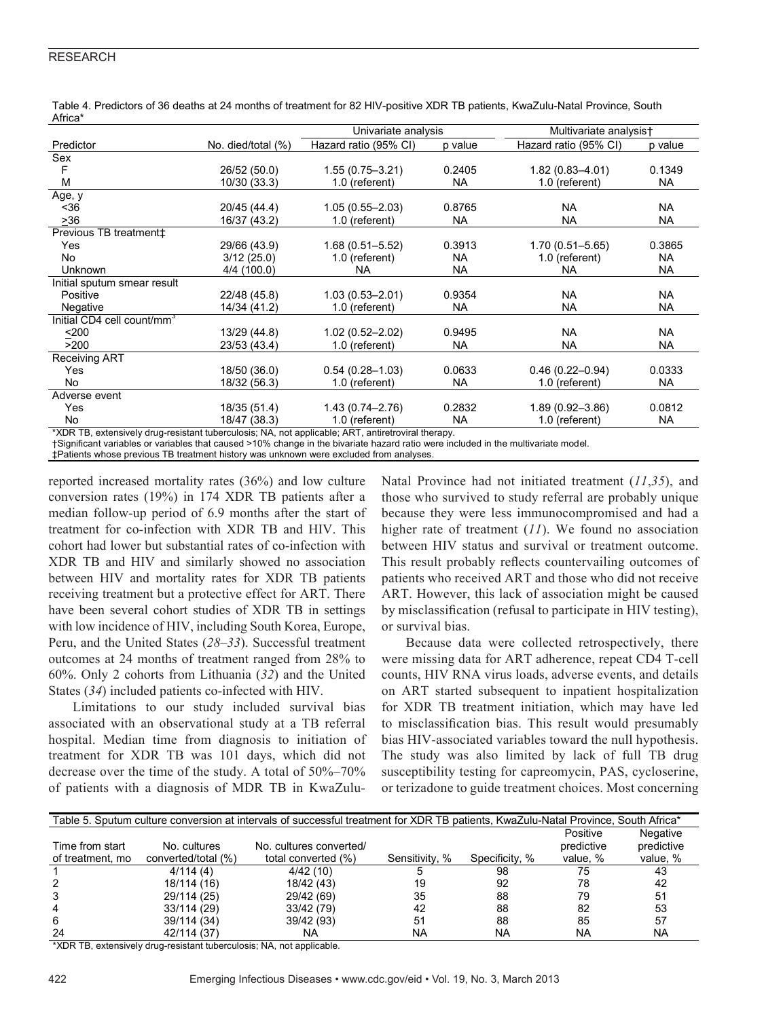|                                        |                    | Univariate analysis   |           | Multivariate analysist |           |
|----------------------------------------|--------------------|-----------------------|-----------|------------------------|-----------|
| Predictor                              | No. died/total (%) | Hazard ratio (95% CI) | p value   | Hazard ratio (95% CI)  | p value   |
| Sex                                    |                    |                       |           |                        |           |
| F                                      | 26/52 (50.0)       | $1.55(0.75 - 3.21)$   | 0.2405    | $1.82(0.83 - 4.01)$    | 0.1349    |
| М                                      | 10/30 (33.3)       | 1.0 (referent)        | <b>NA</b> | 1.0 (referent)         | NA.       |
| Age, y                                 |                    |                       |           |                        |           |
| $36$                                   | 20/45 (44.4)       | $1.05(0.55 - 2.03)$   | 0.8765    | <b>NA</b>              | <b>NA</b> |
| >36                                    | 16/37 (43.2)       | 1.0 (referent)        | <b>NA</b> | <b>NA</b>              | NA.       |
| Previous TB treatment‡                 |                    |                       |           |                        |           |
| Yes                                    | 29/66 (43.9)       | $1.68(0.51 - 5.52)$   | 0.3913    | $1.70(0.51 - 5.65)$    | 0.3865    |
| No.                                    | 3/12(25.0)         | 1.0 (referent)        | <b>NA</b> | 1.0 (referent)         | <b>NA</b> |
| Unknown                                | 4/4 (100.0)        | <b>NA</b>             | <b>NA</b> | <b>NA</b>              | NA.       |
| Initial sputum smear result            |                    |                       |           |                        |           |
| Positive                               | 22/48 (45.8)       | $1.03(0.53 - 2.01)$   | 0.9354    | <b>NA</b>              | <b>NA</b> |
| Negative                               | 14/34 (41.2)       | 1.0 (referent)        | NA.       | NA                     | NA        |
| Initial CD4 cell count/mm <sup>3</sup> |                    |                       |           |                        |           |
| $200$                                  | 13/29 (44.8)       | $1.02(0.52 - 2.02)$   | 0.9495    | <b>NA</b>              | <b>NA</b> |
| >200                                   | 23/53 (43.4)       | 1.0 (referent)        | NA.       | NA                     | NA.       |
| <b>Receiving ART</b>                   |                    |                       |           |                        |           |
| Yes                                    | 18/50 (36.0)       | $0.54(0.28 - 1.03)$   | 0.0633    | $0.46(0.22 - 0.94)$    | 0.0333    |
| No                                     | 18/32 (56.3)       | 1.0 (referent)        | NA.       | 1.0 (referent)         | NA.       |
| Adverse event                          |                    |                       |           |                        |           |
| Yes                                    | 18/35 (51.4)       | 1.43 (0.74-2.76)      | 0.2832    | $1.89(0.92 - 3.86)$    | 0.0812    |
| No                                     | 18/47 (38.3)       | 1.0 (referent)        | NA.       | 1.0 (referent)         | NA        |

Table 4. Predictors of 36 deaths at 24 months of treatment for 82 HIV-positive XDR TB patients, KwaZulu-Natal Province, South Africa\*

\*XDR TB, extensively drug-resistant tuberculosis; NA, not applicable; ART, antiretroviral therapy. †Significant variables or variables that caused >10% change in the bivariate hazard ratio were included in the multivariate model.

‡Patients whose previous TB treatment history was unknown were excluded from analyses.

reported increased mortality rates (36%) and low culture conversion rates (19%) in 174 XDR TB patients after a median follow-up period of 6.9 months after the start of treatment for co-infection with XDR TB and HIV. This cohort had lower but substantial rates of co-infection with XDR TB and HIV and similarly showed no association between HIV and mortality rates for XDR TB patients receiving treatment but a protective effect for ART. There have been several cohort studies of XDR TB in settings with low incidence of HIV, including South Korea, Europe, Peru, and the United States (*28*–*33*). Successful treatment outcomes at 24 months of treatment ranged from 28% to 60%. Only 2 cohorts from Lithuania (*32*) and the United States (*34*) included patients co-infected with HIV.

Limitations to our study included survival bias associated with an observational study at a TB referral hospital. Median time from diagnosis to initiation of treatment for XDR TB was 101 days, which did not decrease over the time of the study. A total of 50%–70% of patients with a diagnosis of MDR TB in KwaZuluNatal Province had not initiated treatment (*11*,*35*), and those who survived to study referral are probably unique because they were less immunocompromised and had a higher rate of treatment (*11*). We found no association between HIV status and survival or treatment outcome. This result probably reflects countervailing outcomes of patients who received ART and those who did not receive ART. However, this lack of association might be caused by misclassification (refusal to participate in HIV testing), or survival bias.

Because data were collected retrospectively, there were missing data for ART adherence, repeat CD4 T-cell counts, HIV RNA virus loads, adverse events, and details on ART started subsequent to inpatient hospitalization for XDR TB treatment initiation, which may have led to misclassification bias. This result would presumably bias HIV-associated variables toward the null hypothesis. The study was also limited by lack of full TB drug susceptibility testing for capreomycin, PAS, cycloserine, or terizadone to guide treatment choices. Most concerning

| Table 5. Sputum culture conversion at intervals of successful treatment for XDR TB patients. KwaZulu-Natal Province, South Africa* |                     |                         |                |                |            |            |
|------------------------------------------------------------------------------------------------------------------------------------|---------------------|-------------------------|----------------|----------------|------------|------------|
|                                                                                                                                    |                     |                         |                |                | Positive   | Negative   |
| Time from start                                                                                                                    | No. cultures        | No. cultures converted/ |                |                | predictive | predictive |
| of treatment, mo                                                                                                                   | converted/total (%) | total converted (%)     | Sensitivity, % | Specificity, % | value, %   | value, %   |
|                                                                                                                                    | 4/114(4)            | 4/42(10)                | 5              | 98             | 75         | 43         |
| 2                                                                                                                                  | 18/114 (16)         | 18/42 (43)              | 19             | 92             | 78         | 42         |
| 3                                                                                                                                  | 29/114 (25)         | 29/42 (69)              | 35             | 88             | 79         | 51         |
| 4                                                                                                                                  | 33/114 (29)         | 33/42 (79)              | 42             | 88             | 82         | 53         |
| 6                                                                                                                                  | 39/114 (34)         | 39/42 (93)              | 51             | 88             | 85         | 57         |
| 24                                                                                                                                 | 42/114 (37)         | NA                      | NA             | NA             | NA         | <b>NA</b>  |

\*XDR TB, extensively drug-resistant tuberculosis; NA, not applicable.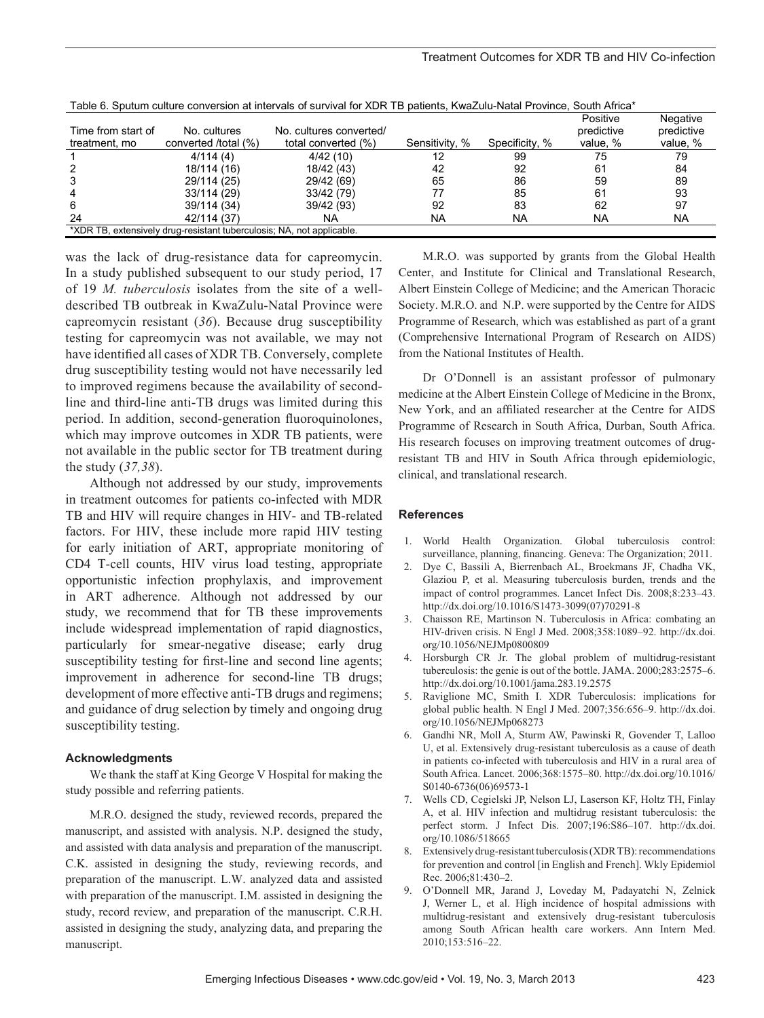| Time from start of                                                    | No. cultures         | No. cultures converted/ |                |                | Positive<br>predictive | Negative<br>predictive |  |
|-----------------------------------------------------------------------|----------------------|-------------------------|----------------|----------------|------------------------|------------------------|--|
| treatment, mo                                                         | converted /total (%) | total converted (%)     | Sensitivity, % | Specificity, % | value, %               | value, %               |  |
|                                                                       |                      |                         |                |                |                        |                        |  |
|                                                                       | 4/114(4)             | 4/42(10)                |                | 99             | 75                     | 79                     |  |
| 2                                                                     | 18/114 (16)          | 18/42 (43)              | 42             | 92             | 61                     | 84                     |  |
| 3                                                                     | 29/114 (25)          | 29/42 (69)              | 65             | 86             | 59                     | 89                     |  |
| 4                                                                     | 33/114 (29)          | 33/42 (79)              |                | 85             | 61                     | 93                     |  |
| 6                                                                     | 39/114 (34)          | 39/42 (93)              | 92             | 83             | 62                     | 97                     |  |
| 24                                                                    | 42/114 (37)          | NA                      | NA             | <b>NA</b>      | NA                     | <b>NA</b>              |  |
| *XDR TB, extensively drug-resistant tuberculosis; NA, not applicable. |                      |                         |                |                |                        |                        |  |

Table 6. Sputum culture conversion at intervals of survival for XDR TB patients, KwaZulu-Natal Province, South Africa\*

was the lack of drug-resistance data for capreomycin. In a study published subsequent to our study period, 17 of 19 *M. tuberculosis* isolates from the site of a welldescribed TB outbreak in KwaZulu-Natal Province were capreomycin resistant (*36*). Because drug susceptibility testing for capreomycin was not available, we may not have identified all cases of XDR TB. Conversely, complete drug susceptibility testing would not have necessarily led to improved regimens because the availability of secondline and third-line anti-TB drugs was limited during this period. In addition, second-generation fluoroquinolones, which may improve outcomes in XDR TB patients, were not available in the public sector for TB treatment during the study (*37,38*).

Although not addressed by our study, improvements in treatment outcomes for patients co-infected with MDR TB and HIV will require changes in HIV- and TB-related factors. For HIV, these include more rapid HIV testing for early initiation of ART, appropriate monitoring of CD4 T-cell counts, HIV virus load testing, appropriate opportunistic infection prophylaxis, and improvement in ART adherence. Although not addressed by our study, we recommend that for TB these improvements include widespread implementation of rapid diagnostics, particularly for smear-negative disease; early drug susceptibility testing for first-line and second line agents; improvement in adherence for second-line TB drugs; development of more effective anti-TB drugs and regimens; and guidance of drug selection by timely and ongoing drug susceptibility testing.

#### **Acknowledgments**

We thank the staff at King George V Hospital for making the study possible and referring patients.

M.R.O. designed the study, reviewed records, prepared the manuscript, and assisted with analysis. N.P. designed the study, and assisted with data analysis and preparation of the manuscript. C.K. assisted in designing the study, reviewing records, and preparation of the manuscript. L.W. analyzed data and assisted with preparation of the manuscript. I.M. assisted in designing the study, record review, and preparation of the manuscript. C.R.H. assisted in designing the study, analyzing data, and preparing the manuscript.

M.R.O. was supported by grants from the Global Health Center, and Institute for Clinical and Translational Research, Albert Einstein College of Medicine; and the American Thoracic Society. M.R.O. and N.P. were supported by the Centre for AIDS Programme of Research, which was established as part of a grant (Comprehensive International Program of Research on AIDS) from the National Institutes of Health.

Dr O'Donnell is an assistant professor of pulmonary medicine at the Albert Einstein College of Medicine in the Bronx, New York, and an affiliated researcher at the Centre for AIDS Programme of Research in South Africa, Durban, South Africa. His research focuses on improving treatment outcomes of drugresistant TB and HIV in South Africa through epidemiologic, clinical, and translational research.

#### **References**

- 1. World Health Organization. Global tuberculosis control: surveillance, planning, financing. Geneva: The Organization; 2011.
- 2. Dye C, Bassili A, Bierrenbach AL, Broekmans JF, Chadha VK, Glaziou P, et al. Measuring tuberculosis burden, trends and the impact of control programmes. Lancet Infect Dis. 2008;8:233–43. http://dx.doi.org/10.1016/S1473-3099(07)70291-8
- 3. Chaisson RE, Martinson N. Tuberculosis in Africa: combating an HIV-driven crisis. N Engl J Med. 2008;358:1089–92. http://dx.doi. org/10.1056/NEJMp0800809
- 4. Horsburgh CR Jr. The global problem of multidrug-resistant tuberculosis: the genie is out of the bottle. JAMA. 2000;283:2575–6. http://dx.doi.org/10.1001/jama.283.19.2575
- 5. Raviglione MC, Smith I. XDR Tuberculosis: implications for global public health. N Engl J Med. 2007;356:656–9. http://dx.doi. org/10.1056/NEJMp068273
- 6. Gandhi NR, Moll A, Sturm AW, Pawinski R, Govender T, Lalloo U, et al. Extensively drug-resistant tuberculosis as a cause of death in patients co-infected with tuberculosis and HIV in a rural area of South Africa. Lancet. 2006;368:1575–80. http://dx.doi.org/10.1016/ S0140-6736(06)69573-1
- 7. Wells CD, Cegielski JP, Nelson LJ, Laserson KF, Holtz TH, Finlay A, et al. HIV infection and multidrug resistant tuberculosis: the perfect storm. J Infect Dis. 2007;196:S86–107. http://dx.doi. org/10.1086/518665
- 8. Extensively drug-resistant tuberculosis (XDR TB): recommendations for prevention and control [in English and French]. Wkly Epidemiol Rec. 2006;81:430–2.
- 9. O'Donnell MR, Jarand J, Loveday M, Padayatchi N, Zelnick J, Werner L, et al. High incidence of hospital admissions with multidrug-resistant and extensively drug-resistant tuberculosis among South African health care workers. Ann Intern Med. 2010;153:516–22.